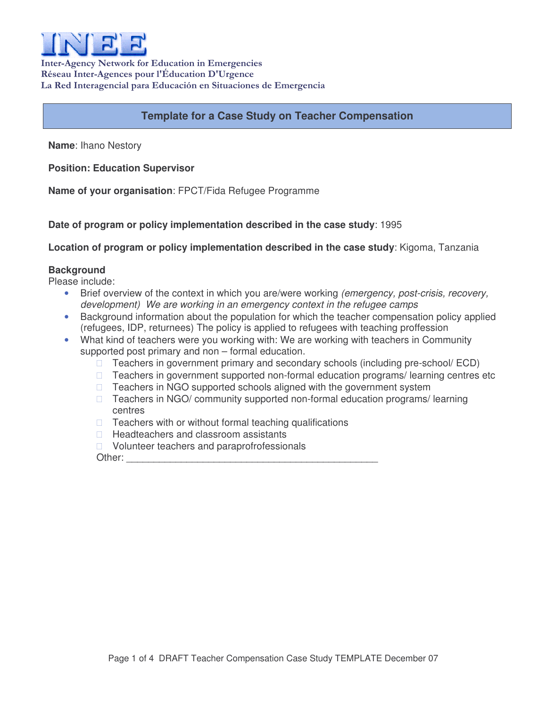

Inter-Agency Network for Education in Emergencies Réseau Inter-Agences pour l'Éducation D'Urgence La Red Interagencial para Educación en Situaciones de Emergencia

# **Template for a Case Study on Teacher Compensation**

**Name**: Ihano Nestory

**Position: Education Supervisor**

**Name of your organisation**: FPCT/Fida Refugee Programme

**Date of program or policy implementation described in the case study**: 1995

**Location of program or policy implementation described in the case study**: Kigoma, Tanzania

### **Background**

Please include:

- Brief overview of the context in which you are/were working *(emergency, post-crisis, recovery, development) We are working in an emergency context in the refugee camps*
- Background information about the population for which the teacher compensation policy applied (refugees, IDP, returnees) The policy is applied to refugees with teaching proffession
- What kind of teachers were you working with: We are working with teachers in Community supported post primary and non – formal education.

 Teachers in government primary and secondary schools (including pre-school/ ECD) Teachers in government supported non-formal education programs/ learning centres etc Teachers in NGO supported schools aligned with the government system Teachers in NGO/ community supported non-formal education programs/ learning centres

Teachers with or without formal teaching qualifications

Headteachers and classroom assistants

Volunteer teachers and paraprofrofessionals

Other: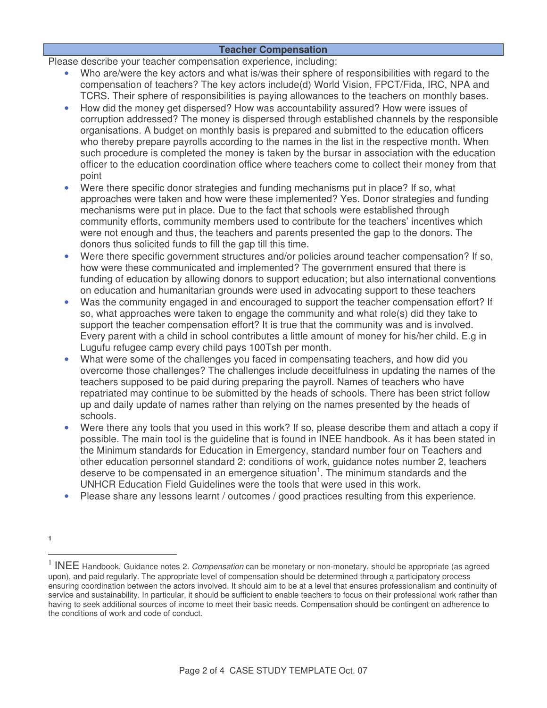### **Teacher Compensation**

Please describe your teacher compensation experience, including:

- Who are/were the key actors and what is/was their sphere of responsibilities with regard to the compensation of teachers? The key actors include(d) World Vision, FPCT/Fida, IRC, NPA and TCRS. Their sphere of responsibilities is paying allowances to the teachers on monthly bases.
- How did the money get dispersed? How was accountability assured? How were issues of corruption addressed? The money is dispersed through established channels by the responsible organisations. A budget on monthly basis is prepared and submitted to the education officers who thereby prepare payrolls according to the names in the list in the respective month. When such procedure is completed the money is taken by the bursar in association with the education officer to the education coordination office where teachers come to collect their money from that point
- Were there specific donor strategies and funding mechanisms put in place? If so, what approaches were taken and how were these implemented? Yes. Donor strategies and funding mechanisms were put in place. Due to the fact that schools were established through community efforts, community members used to contribute for the teachers' incentives which were not enough and thus, the teachers and parents presented the gap to the donors. The donors thus solicited funds to fill the gap till this time.
- Were there specific government structures and/or policies around teacher compensation? If so, how were these communicated and implemented? The government ensured that there is funding of education by allowing donors to support education; but also international conventions on education and humanitarian grounds were used in advocating support to these teachers
- Was the community engaged in and encouraged to support the teacher compensation effort? If so, what approaches were taken to engage the community and what role(s) did they take to support the teacher compensation effort? It is true that the community was and is involved. Every parent with a child in school contributes a little amount of money for his/her child. E.g in Lugufu refugee camp every child pays 100Tsh per month.
- What were some of the challenges you faced in compensating teachers, and how did you overcome those challenges? The challenges include deceitfulness in updating the names of the teachers supposed to be paid during preparing the payroll. Names of teachers who have repatriated may continue to be submitted by the heads of schools. There has been strict follow up and daily update of names rather than relying on the names presented by the heads of schools.
- Were there any tools that you used in this work? If so, please describe them and attach a copy if possible. The main tool is the guideline that is found in INEE handbook. As it has been stated in the Minimum standards for Education in Emergency, standard number four on Teachers and other education personnel standard 2: conditions of work, guidance notes number 2, teachers deserve to be compensated in an emergence situation<sup>1</sup>. The minimum standards and the UNHCR Education Field Guidelines were the tools that were used in this work.
- Please share any lessons learnt / outcomes / good practices resulting from this experience.

**<sup>1</sup>**

<sup>1</sup> INEE Handbook, Guidance notes 2. *Compensation* can be monetary or non-monetary, should be appropriate (as agreed upon), and paid regularly. The appropriate level of compensation should be determined through a participatory process ensuring coordination between the actors involved. It should aim to be at a level that ensures professionalism and continuity of service and sustainability. In particular, it should be sufficient to enable teachers to focus on their professional work rather than having to seek additional sources of income to meet their basic needs. Compensation should be contingent on adherence to the conditions of work and code of conduct.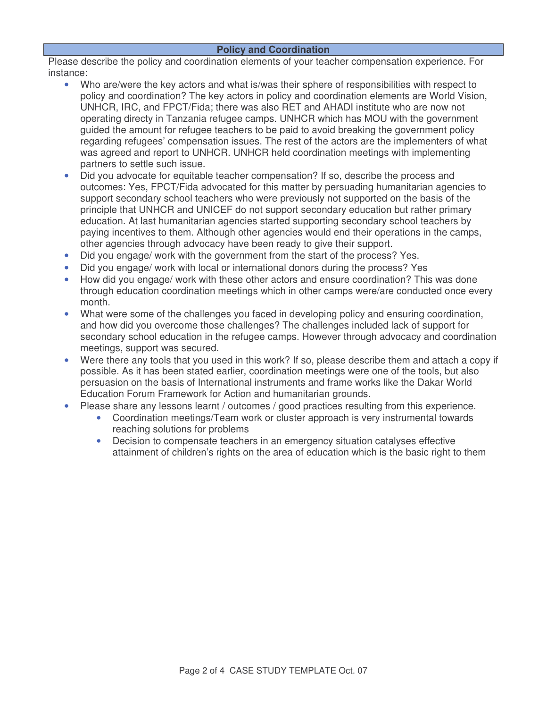## **Policy and Coordination**

Please describe the policy and coordination elements of your teacher compensation experience. For instance:

- Who are/were the key actors and what is/was their sphere of responsibilities with respect to policy and coordination? The key actors in policy and coordination elements are World Vision, UNHCR, IRC, and FPCT/Fida; there was also RET and AHADI institute who are now not operating directy in Tanzania refugee camps. UNHCR which has MOU with the government guided the amount for refugee teachers to be paid to avoid breaking the government policy regarding refugees' compensation issues. The rest of the actors are the implementers of what was agreed and report to UNHCR. UNHCR held coordination meetings with implementing partners to settle such issue.
- Did you advocate for equitable teacher compensation? If so, describe the process and outcomes: Yes, FPCT/Fida advocated for this matter by persuading humanitarian agencies to support secondary school teachers who were previously not supported on the basis of the principle that UNHCR and UNICEF do not support secondary education but rather primary education. At last humanitarian agencies started supporting secondary school teachers by paying incentives to them. Although other agencies would end their operations in the camps, other agencies through advocacy have been ready to give their support.
- Did you engage/ work with the government from the start of the process? Yes.
- Did you engage/ work with local or international donors during the process? Yes
- How did you engage/ work with these other actors and ensure coordination? This was done through education coordination meetings which in other camps were/are conducted once every month.
- What were some of the challenges you faced in developing policy and ensuring coordination, and how did you overcome those challenges? The challenges included lack of support for secondary school education in the refugee camps. However through advocacy and coordination meetings, support was secured.
- Were there any tools that you used in this work? If so, please describe them and attach a copy if possible. As it has been stated earlier, coordination meetings were one of the tools, but also persuasion on the basis of International instruments and frame works like the Dakar World Education Forum Framework for Action and humanitarian grounds.
- Please share any lessons learnt / outcomes / good practices resulting from this experience.
	- Coordination meetings/Team work or cluster approach is very instrumental towards reaching solutions for problems
	- Decision to compensate teachers in an emergency situation catalyses effective attainment of children's rights on the area of education which is the basic right to them